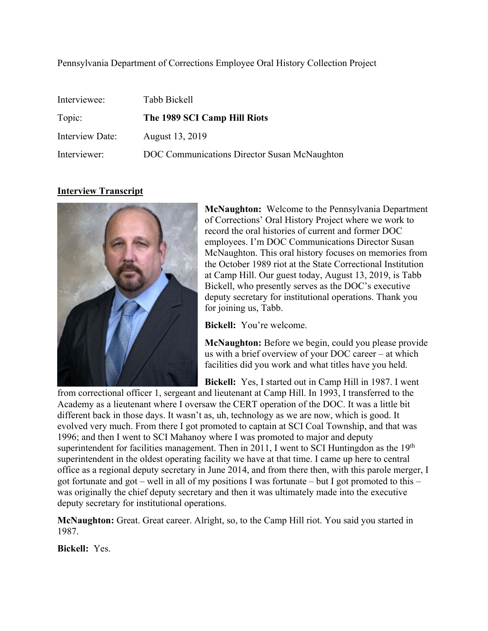# Pennsylvania Department of Corrections Employee Oral History Collection Project

| Interviewee:    | Tabb Bickell                                 |
|-----------------|----------------------------------------------|
| Topic:          | The 1989 SCI Camp Hill Riots                 |
| Interview Date: | August 13, 2019                              |
| Interviewer:    | DOC Communications Director Susan McNaughton |

# **Interview Transcript**



**McNaughton:** Welcome to the Pennsylvania Department of Corrections' Oral History Project where we work to record the oral histories of current and former DOC employees. I'm DOC Communications Director Susan McNaughton. This oral history focuses on memories from the October 1989 riot at the State Correctional Institution at Camp Hill. Our guest today, August 13, 2019, is Tabb Bickell, who presently serves as the DOC's executive deputy secretary for institutional operations. Thank you for joining us, Tabb.

**Bickell:** You're welcome.

**McNaughton:** Before we begin, could you please provide us with a brief overview of your DOC career – at which facilities did you work and what titles have you held.

**Bickell:** Yes, I started out in Camp Hill in 1987. I went

from correctional officer 1, sergeant and lieutenant at Camp Hill. In 1993, I transferred to the Academy as a lieutenant where I oversaw the CERT operation of the DOC. It was a little bit different back in those days. It wasn't as, uh, technology as we are now, which is good. It evolved very much. From there I got promoted to captain at SCI Coal Township, and that was 1996; and then I went to SCI Mahanoy where I was promoted to major and deputy superintendent for facilities management. Then in 2011, I went to SCI Huntingdon as the  $19<sup>th</sup>$ superintendent in the oldest operating facility we have at that time. I came up here to central office as a regional deputy secretary in June 2014, and from there then, with this parole merger, I got fortunate and got – well in all of my positions I was fortunate – but I got promoted to this – was originally the chief deputy secretary and then it was ultimately made into the executive deputy secretary for institutional operations.

**McNaughton:** Great. Great career. Alright, so, to the Camp Hill riot. You said you started in 1987.

**Bickell:** Yes.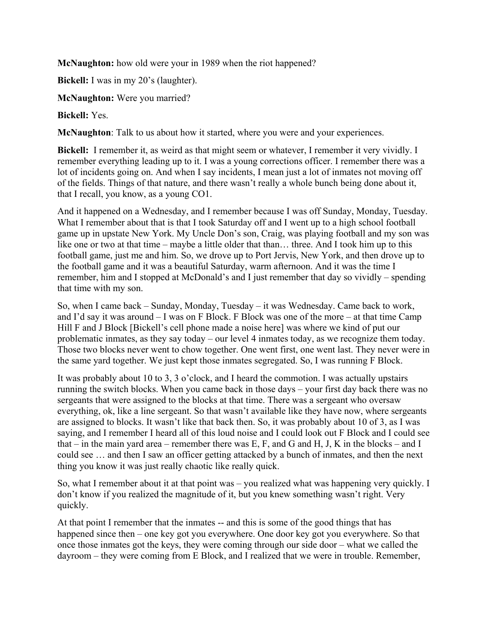**McNaughton:** how old were your in 1989 when the riot happened?

**Bickell:** I was in my 20's (laughter).

**McNaughton:** Were you married?

# **Bickell:** Yes.

**McNaughton**: Talk to us about how it started, where you were and your experiences.

**Bickell:** I remember it, as weird as that might seem or whatever, I remember it very vividly. I remember everything leading up to it. I was a young corrections officer. I remember there was a lot of incidents going on. And when I say incidents, I mean just a lot of inmates not moving off of the fields. Things of that nature, and there wasn't really a whole bunch being done about it, that I recall, you know, as a young CO1.

And it happened on a Wednesday, and I remember because I was off Sunday, Monday, Tuesday. What I remember about that is that I took Saturday off and I went up to a high school football game up in upstate New York. My Uncle Don's son, Craig, was playing football and my son was like one or two at that time – maybe a little older that than… three. And I took him up to this football game, just me and him. So, we drove up to Port Jervis, New York, and then drove up to the football game and it was a beautiful Saturday, warm afternoon. And it was the time I remember, him and I stopped at McDonald's and I just remember that day so vividly – spending that time with my son.

So, when I came back – Sunday, Monday, Tuesday – it was Wednesday. Came back to work, and I'd say it was around – I was on F Block. F Block was one of the more – at that time Camp Hill F and J Block [Bickell's cell phone made a noise here] was where we kind of put our problematic inmates, as they say today – our level 4 inmates today, as we recognize them today. Those two blocks never went to chow together. One went first, one went last. They never were in the same yard together. We just kept those inmates segregated. So, I was running F Block.

It was probably about 10 to 3, 3 o'clock, and I heard the commotion. I was actually upstairs running the switch blocks. When you came back in those days – your first day back there was no sergeants that were assigned to the blocks at that time. There was a sergeant who oversaw everything, ok, like a line sergeant. So that wasn't available like they have now, where sergeants are assigned to blocks. It wasn't like that back then. So, it was probably about 10 of 3, as I was saying, and I remember I heard all of this loud noise and I could look out F Block and I could see that – in the main yard area – remember there was  $E$ ,  $F$ , and  $G$  and  $H$ ,  $J$ ,  $K$  in the blocks – and  $I$ could see … and then I saw an officer getting attacked by a bunch of inmates, and then the next thing you know it was just really chaotic like really quick.

So, what I remember about it at that point was – you realized what was happening very quickly. I don't know if you realized the magnitude of it, but you knew something wasn't right. Very quickly.

At that point I remember that the inmates -- and this is some of the good things that has happened since then – one key got you everywhere. One door key got you everywhere. So that once those inmates got the keys, they were coming through our side door – what we called the dayroom – they were coming from E Block, and I realized that we were in trouble. Remember,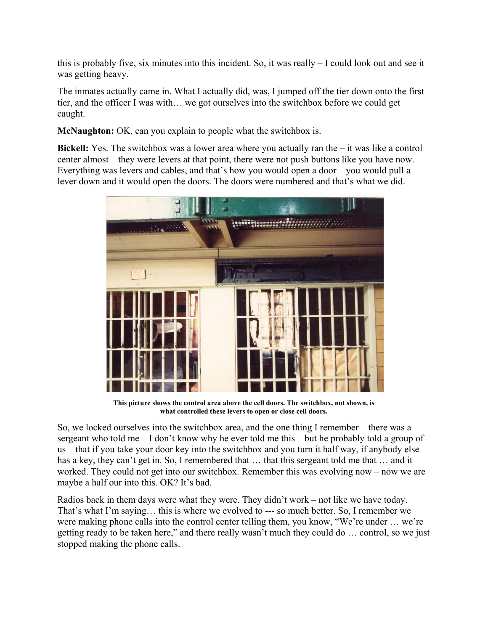this is probably five, six minutes into this incident. So, it was really – I could look out and see it was getting heavy.

The inmates actually came in. What I actually did, was, I jumped off the tier down onto the first tier, and the officer I was with… we got ourselves into the switchbox before we could get caught.

**McNaughton:** OK, can you explain to people what the switchbox is.

**Bickell:** Yes. The switchbox was a lower area where you actually ran the – it was like a control center almost – they were levers at that point, there were not push buttons like you have now. Everything was levers and cables, and that's how you would open a door – you would pull a lever down and it would open the doors. The doors were numbered and that's what we did.



**This picture shows the control area above the cell doors. The switchbox, not shown, is what controlled these levers to open or close cell doors.** 

So, we locked ourselves into the switchbox area, and the one thing I remember – there was a sergeant who told me  $-I$  don't know why he ever told me this – but he probably told a group of us – that if you take your door key into the switchbox and you turn it half way, if anybody else has a key, they can't get in. So, I remembered that ... that this sergeant told me that ... and it worked. They could not get into our switchbox. Remember this was evolving now – now we are maybe a half our into this. OK? It's bad.

Radios back in them days were what they were. They didn't work – not like we have today. That's what I'm saying… this is where we evolved to --- so much better. So, I remember we were making phone calls into the control center telling them, you know, "We're under … we're getting ready to be taken here," and there really wasn't much they could do … control, so we just stopped making the phone calls.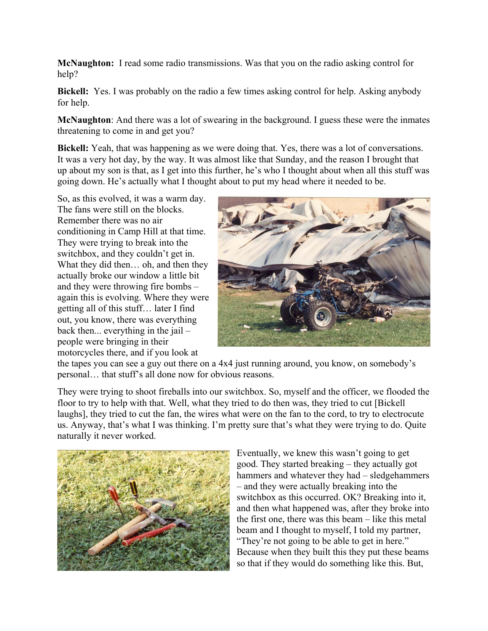**McNaughton:** I read some radio transmissions. Was that you on the radio asking control for help?

**Bickell:** Yes. I was probably on the radio a few times asking control for help. Asking anybody for help.

**McNaughton**: And there was a lot of swearing in the background. I guess these were the inmates threatening to come in and get you?

**Bickell:** Yeah, that was happening as we were doing that. Yes, there was a lot of conversations. It was a very hot day, by the way. It was almost like that Sunday, and the reason I brought that up about my son is that, as I get into this further, he's who I thought about when all this stuff was going down. He's actually what I thought about to put my head where it needed to be.

So, as this evolved, it was a warm day. The fans were still on the blocks. Remember there was no air conditioning in Camp Hill at that time. They were trying to break into the switchbox, and they couldn't get in. What they did then… oh, and then they actually broke our window a little bit and they were throwing fire bombs – again this is evolving. Where they were getting all of this stuff… later I find out, you know, there was everything back then... everything in the jail – people were bringing in their motorcycles there, and if you look at



the tapes you can see a guy out there on a 4x4 just running around, you know, on somebody's personal… that stuff's all done now for obvious reasons.

They were trying to shoot fireballs into our switchbox. So, myself and the officer, we flooded the floor to try to help with that. Well, what they tried to do then was, they tried to cut [Bickell laughs], they tried to cut the fan, the wires what were on the fan to the cord, to try to electrocute us. Anyway, that's what I was thinking. I'm pretty sure that's what they were trying to do. Quite naturally it never worked.



Eventually, we knew this wasn't going to get good. They started breaking – they actually got hammers and whatever they had – sledgehammers – and they were actually breaking into the switchbox as this occurred. OK? Breaking into it, and then what happened was, after they broke into the first one, there was this beam – like this metal beam and I thought to myself, I told my partner, "They're not going to be able to get in here." Because when they built this they put these beams so that if they would do something like this. But,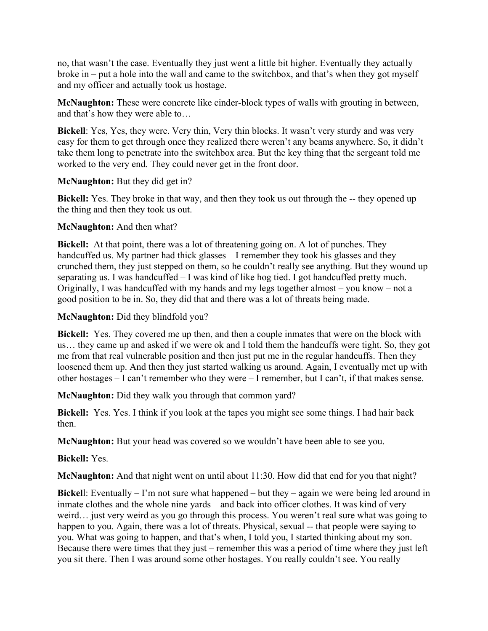no, that wasn't the case. Eventually they just went a little bit higher. Eventually they actually broke in – put a hole into the wall and came to the switchbox, and that's when they got myself and my officer and actually took us hostage.

**McNaughton:** These were concrete like cinder-block types of walls with grouting in between, and that's how they were able to…

**Bickell**: Yes, Yes, they were. Very thin, Very thin blocks. It wasn't very sturdy and was very easy for them to get through once they realized there weren't any beams anywhere. So, it didn't take them long to penetrate into the switchbox area. But the key thing that the sergeant told me worked to the very end. They could never get in the front door.

# **McNaughton:** But they did get in?

**Bickell:** Yes. They broke in that way, and then they took us out through the -- they opened up the thing and then they took us out.

# **McNaughton:** And then what?

**Bickell:** At that point, there was a lot of threatening going on. A lot of punches. They handcuffed us. My partner had thick glasses – I remember they took his glasses and they crunched them, they just stepped on them, so he couldn't really see anything. But they wound up separating us. I was handcuffed – I was kind of like hog tied. I got handcuffed pretty much. Originally, I was handcuffed with my hands and my legs together almost – you know – not a good position to be in. So, they did that and there was a lot of threats being made.

# **McNaughton:** Did they blindfold you?

**Bickell:** Yes. They covered me up then, and then a couple inmates that were on the block with us… they came up and asked if we were ok and I told them the handcuffs were tight. So, they got me from that real vulnerable position and then just put me in the regular handcuffs. Then they loosened them up. And then they just started walking us around. Again, I eventually met up with other hostages – I can't remember who they were – I remember, but I can't, if that makes sense.

**McNaughton:** Did they walk you through that common yard?

**Bickell:** Yes. Yes. I think if you look at the tapes you might see some things. I had hair back then.

**McNaughton:** But your head was covered so we wouldn't have been able to see you.

# **Bickell:** Yes.

**McNaughton:** And that night went on until about 11:30. How did that end for you that night?

**Bickell:** Eventually  $- \Gamma$  m not sure what happened  $-$  but they  $-$  again we were being led around in inmate clothes and the whole nine yards – and back into officer clothes. It was kind of very weird… just very weird as you go through this process. You weren't real sure what was going to happen to you. Again, there was a lot of threats. Physical, sexual -- that people were saying to you. What was going to happen, and that's when, I told you, I started thinking about my son. Because there were times that they just – remember this was a period of time where they just left you sit there. Then I was around some other hostages. You really couldn't see. You really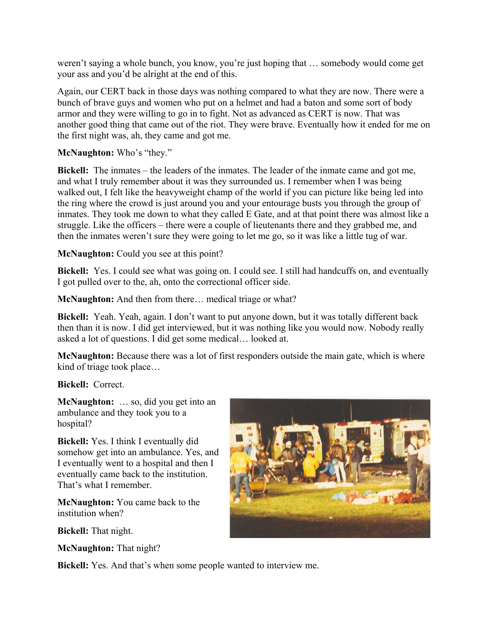weren't saying a whole bunch, you know, you're just hoping that … somebody would come get your ass and you'd be alright at the end of this.

Again, our CERT back in those days was nothing compared to what they are now. There were a bunch of brave guys and women who put on a helmet and had a baton and some sort of body armor and they were willing to go in to fight. Not as advanced as CERT is now. That was another good thing that came out of the riot. They were brave. Eventually how it ended for me on the first night was, ah, they came and got me.

# **McNaughton:** Who's "they."

**Bickell:** The inmates – the leaders of the inmates. The leader of the inmate came and got me, and what I truly remember about it was they surrounded us. I remember when I was being walked out, I felt like the heavyweight champ of the world if you can picture like being led into the ring where the crowd is just around you and your entourage busts you through the group of inmates. They took me down to what they called E Gate, and at that point there was almost like a struggle. Like the officers – there were a couple of lieutenants there and they grabbed me, and then the inmates weren't sure they were going to let me go, so it was like a little tug of war.

# **McNaughton:** Could you see at this point?

**Bickell:** Yes. I could see what was going on. I could see. I still had handcuffs on, and eventually I got pulled over to the, ah, onto the correctional officer side.

**McNaughton:** And then from there… medical triage or what?

**Bickell:** Yeah. Yeah, again. I don't want to put anyone down, but it was totally different back then than it is now. I did get interviewed, but it was nothing like you would now. Nobody really asked a lot of questions. I did get some medical… looked at.

**McNaughton:** Because there was a lot of first responders outside the main gate, which is where kind of triage took place…

**Bickell:** Correct.

**McNaughton:** … so, did you get into an ambulance and they took you to a hospital?

**Bickell:** Yes. I think I eventually did somehow get into an ambulance. Yes, and I eventually went to a hospital and then I eventually came back to the institution. That's what I remember.

**McNaughton:** You came back to the institution when?

**Bickell:** That night.

**McNaughton:** That night?



**Bickell:** Yes. And that's when some people wanted to interview me.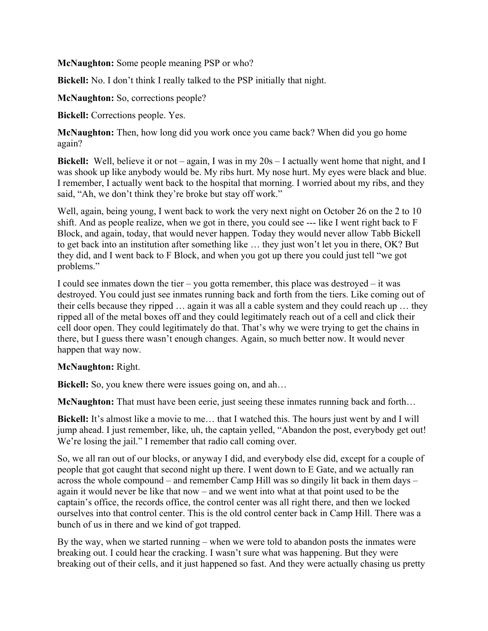**McNaughton:** Some people meaning PSP or who?

**Bickell:** No. I don't think I really talked to the PSP initially that night.

**McNaughton:** So, corrections people?

**Bickell:** Corrections people. Yes.

**McNaughton:** Then, how long did you work once you came back? When did you go home again?

**Bickell:** Well, believe it or not – again, I was in my 20s – I actually went home that night, and I was shook up like anybody would be. My ribs hurt. My nose hurt. My eyes were black and blue. I remember, I actually went back to the hospital that morning. I worried about my ribs, and they said, "Ah, we don't think they're broke but stay off work."

Well, again, being young, I went back to work the very next night on October 26 on the 2 to 10 shift. And as people realize, when we got in there, you could see --- like I went right back to F Block, and again, today, that would never happen. Today they would never allow Tabb Bickell to get back into an institution after something like … they just won't let you in there, OK? But they did, and I went back to F Block, and when you got up there you could just tell "we got problems."

I could see inmates down the tier – you gotta remember, this place was destroyed – it was destroyed. You could just see inmates running back and forth from the tiers. Like coming out of their cells because they ripped … again it was all a cable system and they could reach up … they ripped all of the metal boxes off and they could legitimately reach out of a cell and click their cell door open. They could legitimately do that. That's why we were trying to get the chains in there, but I guess there wasn't enough changes. Again, so much better now. It would never happen that way now.

#### **McNaughton:** Right.

**Bickell:** So, you knew there were issues going on, and ah...

**McNaughton:** That must have been eerie, just seeing these inmates running back and forth…

**Bickell:** It's almost like a movie to me… that I watched this. The hours just went by and I will jump ahead. I just remember, like, uh, the captain yelled, "Abandon the post, everybody get out! We're losing the jail." I remember that radio call coming over.

So, we all ran out of our blocks, or anyway I did, and everybody else did, except for a couple of people that got caught that second night up there. I went down to E Gate, and we actually ran across the whole compound – and remember Camp Hill was so dingily lit back in them days – again it would never be like that now – and we went into what at that point used to be the captain's office, the records office, the control center was all right there, and then we locked ourselves into that control center. This is the old control center back in Camp Hill. There was a bunch of us in there and we kind of got trapped.

By the way, when we started running – when we were told to abandon posts the inmates were breaking out. I could hear the cracking. I wasn't sure what was happening. But they were breaking out of their cells, and it just happened so fast. And they were actually chasing us pretty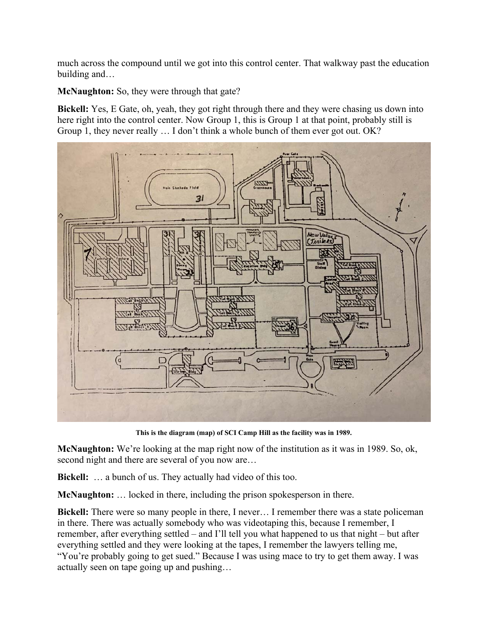much across the compound until we got into this control center. That walkway past the education building and…

**McNaughton:** So, they were through that gate?

**Bickell:** Yes, E Gate, oh, yeah, they got right through there and they were chasing us down into here right into the control center. Now Group 1, this is Group 1 at that point, probably still is Group 1, they never really … I don't think a whole bunch of them ever got out. OK?



**This is the diagram (map) of SCI Camp Hill as the facility was in 1989.** 

**McNaughton:** We're looking at the map right now of the institution as it was in 1989. So, ok, second night and there are several of you now are…

**Bickell:** … a bunch of us. They actually had video of this too.

**McNaughton:** … locked in there, including the prison spokesperson in there.

**Bickell:** There were so many people in there, I never… I remember there was a state policeman in there. There was actually somebody who was videotaping this, because I remember, I remember, after everything settled – and I'll tell you what happened to us that night – but after everything settled and they were looking at the tapes, I remember the lawyers telling me, "You're probably going to get sued." Because I was using mace to try to get them away. I was actually seen on tape going up and pushing…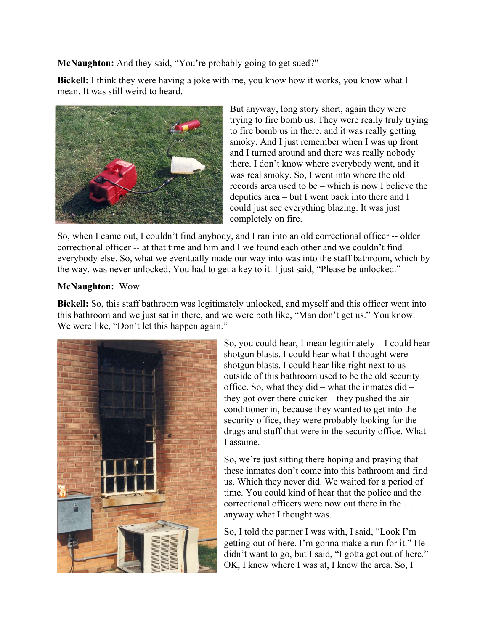**McNaughton:** And they said, "You're probably going to get sued?"

**Bickell:** I think they were having a joke with me, you know how it works, you know what I mean. It was still weird to heard.



But anyway, long story short, again they were trying to fire bomb us. They were really truly trying to fire bomb us in there, and it was really getting smoky. And I just remember when I was up front and I turned around and there was really nobody there. I don't know where everybody went, and it was real smoky. So, I went into where the old records area used to be – which is now I believe the deputies area – but I went back into there and I could just see everything blazing. It was just completely on fire.

So, when I came out, I couldn't find anybody, and I ran into an old correctional officer -- older correctional officer -- at that time and him and I we found each other and we couldn't find everybody else. So, what we eventually made our way into was into the staff bathroom, which by the way, was never unlocked. You had to get a key to it. I just said, "Please be unlocked."

#### **McNaughton:** Wow.

**Bickell:** So, this staff bathroom was legitimately unlocked, and myself and this officer went into this bathroom and we just sat in there, and we were both like, "Man don't get us." You know. We were like, "Don't let this happen again."



So, you could hear, I mean legitimately – I could hear shotgun blasts. I could hear what I thought were shotgun blasts. I could hear like right next to us outside of this bathroom used to be the old security office. So, what they did – what the inmates did – they got over there quicker – they pushed the air conditioner in, because they wanted to get into the security office, they were probably looking for the drugs and stuff that were in the security office. What I assume.

So, we're just sitting there hoping and praying that these inmates don't come into this bathroom and find us. Which they never did. We waited for a period of time. You could kind of hear that the police and the correctional officers were now out there in the … anyway what I thought was.

So, I told the partner I was with, I said, "Look I'm getting out of here. I'm gonna make a run for it." He didn't want to go, but I said, "I gotta get out of here." OK, I knew where I was at, I knew the area. So, I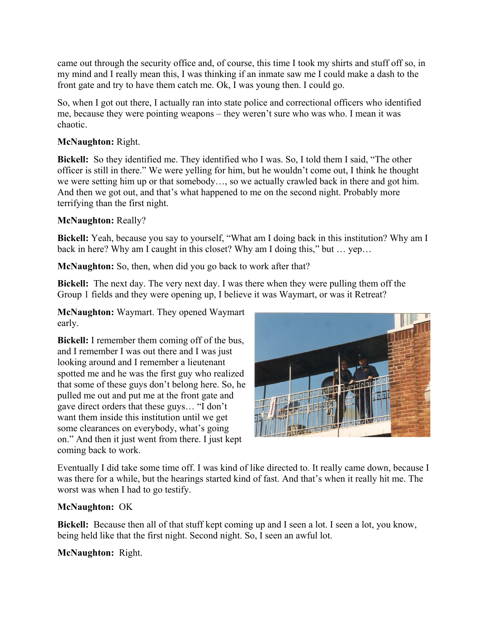came out through the security office and, of course, this time I took my shirts and stuff off so, in my mind and I really mean this, I was thinking if an inmate saw me I could make a dash to the front gate and try to have them catch me. Ok, I was young then. I could go.

So, when I got out there, I actually ran into state police and correctional officers who identified me, because they were pointing weapons – they weren't sure who was who. I mean it was chaotic.

# **McNaughton:** Right.

**Bickell:** So they identified me. They identified who I was. So, I told them I said, "The other officer is still in there." We were yelling for him, but he wouldn't come out, I think he thought we were setting him up or that somebody…, so we actually crawled back in there and got him. And then we got out, and that's what happened to me on the second night. Probably more terrifying than the first night.

# **McNaughton:** Really?

**Bickell:** Yeah, because you say to yourself, "What am I doing back in this institution? Why am I back in here? Why am I caught in this closet? Why am I doing this," but … yep…

**McNaughton:** So, then, when did you go back to work after that?

**Bickell:** The next day. The very next day. I was there when they were pulling them off the Group 1 fields and they were opening up, I believe it was Waymart, or was it Retreat?

**McNaughton:** Waymart. They opened Waymart early.

**Bickell:** I remember them coming off of the bus, and I remember I was out there and I was just looking around and I remember a lieutenant spotted me and he was the first guy who realized that some of these guys don't belong here. So, he pulled me out and put me at the front gate and gave direct orders that these guys… "I don't want them inside this institution until we get some clearances on everybody, what's going on." And then it just went from there. I just kept coming back to work.



Eventually I did take some time off. I was kind of like directed to. It really came down, because I was there for a while, but the hearings started kind of fast. And that's when it really hit me. The worst was when I had to go testify.

# **McNaughton:** OK

**Bickell:** Because then all of that stuff kept coming up and I seen a lot. I seen a lot, you know, being held like that the first night. Second night. So, I seen an awful lot.

# **McNaughton:** Right.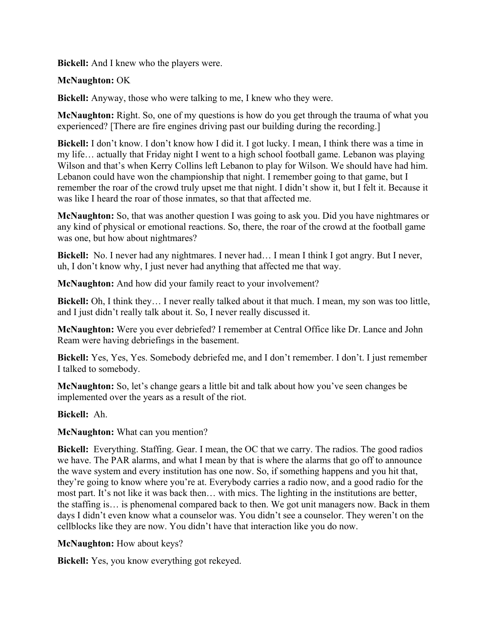**Bickell:** And I knew who the players were.

# **McNaughton:** OK

**Bickell:** Anyway, those who were talking to me, I knew who they were.

**McNaughton:** Right. So, one of my questions is how do you get through the trauma of what you experienced? [There are fire engines driving past our building during the recording.]

**Bickell:** I don't know. I don't know how I did it. I got lucky. I mean, I think there was a time in my life… actually that Friday night I went to a high school football game. Lebanon was playing Wilson and that's when Kerry Collins left Lebanon to play for Wilson. We should have had him. Lebanon could have won the championship that night. I remember going to that game, but I remember the roar of the crowd truly upset me that night. I didn't show it, but I felt it. Because it was like I heard the roar of those inmates, so that that affected me.

**McNaughton:** So, that was another question I was going to ask you. Did you have nightmares or any kind of physical or emotional reactions. So, there, the roar of the crowd at the football game was one, but how about nightmares?

**Bickell:** No. I never had any nightmares. I never had… I mean I think I got angry. But I never, uh, I don't know why, I just never had anything that affected me that way.

**McNaughton:** And how did your family react to your involvement?

**Bickell:** Oh, I think they… I never really talked about it that much. I mean, my son was too little, and I just didn't really talk about it. So, I never really discussed it.

**McNaughton:** Were you ever debriefed? I remember at Central Office like Dr. Lance and John Ream were having debriefings in the basement.

**Bickell:** Yes, Yes, Yes. Somebody debriefed me, and I don't remember. I don't. I just remember I talked to somebody.

**McNaughton:** So, let's change gears a little bit and talk about how you've seen changes be implemented over the years as a result of the riot.

#### **Bickell:** Ah.

# **McNaughton:** What can you mention?

**Bickell:** Everything. Staffing. Gear. I mean, the OC that we carry. The radios. The good radios we have. The PAR alarms, and what I mean by that is where the alarms that go off to announce the wave system and every institution has one now. So, if something happens and you hit that, they're going to know where you're at. Everybody carries a radio now, and a good radio for the most part. It's not like it was back then… with mics. The lighting in the institutions are better, the staffing is… is phenomenal compared back to then. We got unit managers now. Back in them days I didn't even know what a counselor was. You didn't see a counselor. They weren't on the cellblocks like they are now. You didn't have that interaction like you do now.

# **McNaughton:** How about keys?

**Bickell:** Yes, you know everything got rekeyed.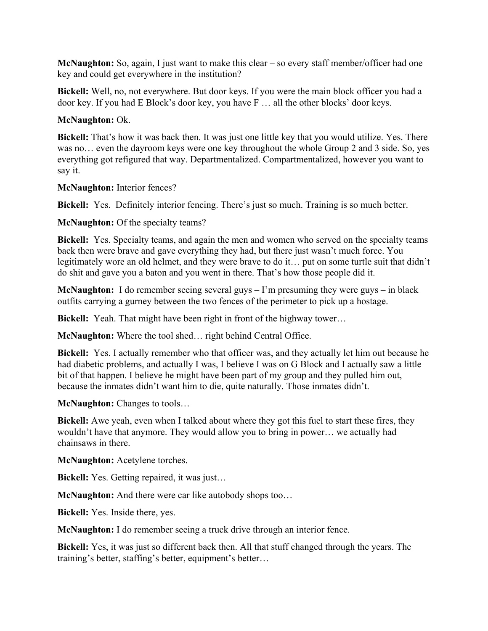**McNaughton:** So, again, I just want to make this clear – so every staff member/officer had one key and could get everywhere in the institution?

**Bickell:** Well, no, not everywhere. But door keys. If you were the main block officer you had a door key. If you had E Block's door key, you have F … all the other blocks' door keys.

# **McNaughton:** Ok.

**Bickell:** That's how it was back then. It was just one little key that you would utilize. Yes. There was no… even the dayroom keys were one key throughout the whole Group 2 and 3 side. So, yes everything got refigured that way. Departmentalized. Compartmentalized, however you want to say it.

**McNaughton:** Interior fences?

**Bickell:** Yes. Definitely interior fencing. There's just so much. Training is so much better.

**McNaughton:** Of the specialty teams?

**Bickell:** Yes. Specialty teams, and again the men and women who served on the specialty teams back then were brave and gave everything they had, but there just wasn't much force. You legitimately wore an old helmet, and they were brave to do it… put on some turtle suit that didn't do shit and gave you a baton and you went in there. That's how those people did it.

**McNaughton:** I do remember seeing several guys – I'm presuming they were guys – in black outfits carrying a gurney between the two fences of the perimeter to pick up a hostage.

**Bickell:** Yeah. That might have been right in front of the highway tower…

**McNaughton:** Where the tool shed… right behind Central Office.

**Bickell:** Yes. I actually remember who that officer was, and they actually let him out because he had diabetic problems, and actually I was, I believe I was on G Block and I actually saw a little bit of that happen. I believe he might have been part of my group and they pulled him out, because the inmates didn't want him to die, quite naturally. Those inmates didn't.

**McNaughton:** Changes to tools…

**Bickell:** Awe yeah, even when I talked about where they got this fuel to start these fires, they wouldn't have that anymore. They would allow you to bring in power… we actually had chainsaws in there.

**McNaughton:** Acetylene torches.

**Bickell:** Yes. Getting repaired, it was just…

**McNaughton:** And there were car like autobody shops too…

**Bickell:** Yes. Inside there, yes.

**McNaughton:** I do remember seeing a truck drive through an interior fence.

**Bickell:** Yes, it was just so different back then. All that stuff changed through the years. The training's better, staffing's better, equipment's better…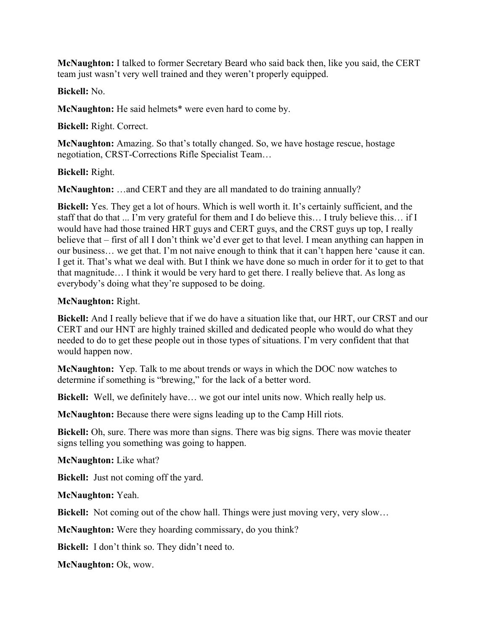**McNaughton:** I talked to former Secretary Beard who said back then, like you said, the CERT team just wasn't very well trained and they weren't properly equipped.

**Bickell:** No.

**McNaughton:** He said helmets\* were even hard to come by.

**Bickell:** Right. Correct.

**McNaughton:** Amazing. So that's totally changed. So, we have hostage rescue, hostage negotiation, CRST-Corrections Rifle Specialist Team…

# **Bickell:** Right.

**McNaughton:** …and CERT and they are all mandated to do training annually?

**Bickell:** Yes. They get a lot of hours. Which is well worth it. It's certainly sufficient, and the staff that do that ... I'm very grateful for them and I do believe this… I truly believe this… if I would have had those trained HRT guys and CERT guys, and the CRST guys up top, I really believe that – first of all I don't think we'd ever get to that level. I mean anything can happen in our business… we get that. I'm not naive enough to think that it can't happen here 'cause it can. I get it. That's what we deal with. But I think we have done so much in order for it to get to that that magnitude… I think it would be very hard to get there. I really believe that. As long as everybody's doing what they're supposed to be doing.

# **McNaughton:** Right.

**Bickell:** And I really believe that if we do have a situation like that, our HRT, our CRST and our CERT and our HNT are highly trained skilled and dedicated people who would do what they needed to do to get these people out in those types of situations. I'm very confident that that would happen now.

**McNaughton:** Yep. Talk to me about trends or ways in which the DOC now watches to determine if something is "brewing," for the lack of a better word.

**Bickell:** Well, we definitely have… we got our intel units now. Which really help us.

**McNaughton:** Because there were signs leading up to the Camp Hill riots.

**Bickell:** Oh, sure. There was more than signs. There was big signs. There was movie theater signs telling you something was going to happen.

**McNaughton:** Like what?

**Bickell:** Just not coming off the yard.

**McNaughton:** Yeah.

**Bickell:** Not coming out of the chow hall. Things were just moving very, very slow…

**McNaughton:** Were they hoarding commissary, do you think?

**Bickell:** I don't think so. They didn't need to.

**McNaughton:** Ok, wow.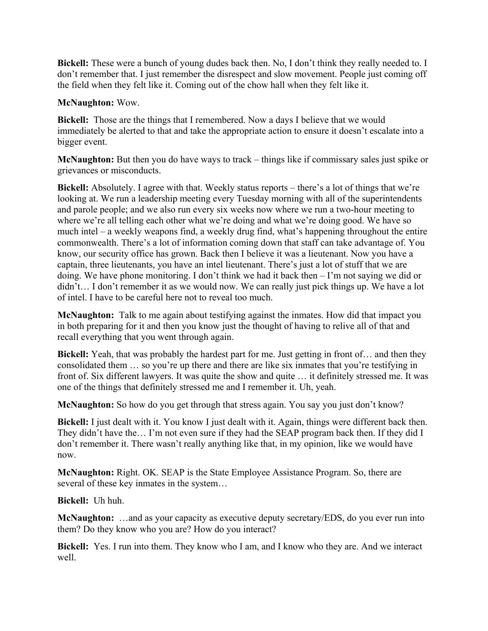**Bickell:** These were a bunch of young dudes back then. No, I don't think they really needed to. I don't remember that. I just remember the disrespect and slow movement. People just coming off the field when they felt like it. Coming out of the chow hall when they felt like it.

# **McNaughton:** Wow.

**Bickell:** Those are the things that I remembered. Now a days I believe that we would immediately be alerted to that and take the appropriate action to ensure it doesn't escalate into a bigger event.

**McNaughton:** But then you do have ways to track – things like if commissary sales just spike or grievances or misconducts.

**Bickell:** Absolutely. I agree with that. Weekly status reports – there's a lot of things that we're looking at. We run a leadership meeting every Tuesday morning with all of the superintendents and parole people; and we also run every six weeks now where we run a two-hour meeting to where we're all telling each other what we're doing and what we're doing good. We have so much intel – a weekly weapons find, a weekly drug find, what's happening throughout the entire commonwealth. There's a lot of information coming down that staff can take advantage of. You know, our security office has grown. Back then I believe it was a lieutenant. Now you have a captain, three lieutenants, you have an intel lieutenant. There's just a lot of stuff that we are doing. We have phone monitoring. I don't think we had it back then – I'm not saying we did or didn't... I don't remember it as we would now. We can really just pick things up. We have a lot of intel. I have to be careful here not to reveal too much.

**McNaughton:** Talk to me again about testifying against the inmates. How did that impact you in both preparing for it and then you know just the thought of having to relive all of that and recall everything that you went through again.

**Bickell:** Yeah, that was probably the hardest part for me. Just getting in front of… and then they consolidated them … so you're up there and there are like six inmates that you're testifying in front of. Six different lawyers. It was quite the show and quite … it definitely stressed me. It was one of the things that definitely stressed me and I remember it. Uh, yeah.

**McNaughton:** So how do you get through that stress again. You say you just don't know?

**Bickell:** I just dealt with it. You know I just dealt with it. Again, things were different back then. They didn't have the… I'm not even sure if they had the SEAP program back then. If they did I don't remember it. There wasn't really anything like that, in my opinion, like we would have now.

**McNaughton:** Right. OK. SEAP is the State Employee Assistance Program. So, there are several of these key inmates in the system…

**Bickell:** Uh huh.

**McNaughton:** …and as your capacity as executive deputy secretary/EDS, do you ever run into them? Do they know who you are? How do you interact?

**Bickell:** Yes. I run into them. They know who I am, and I know who they are. And we interact well.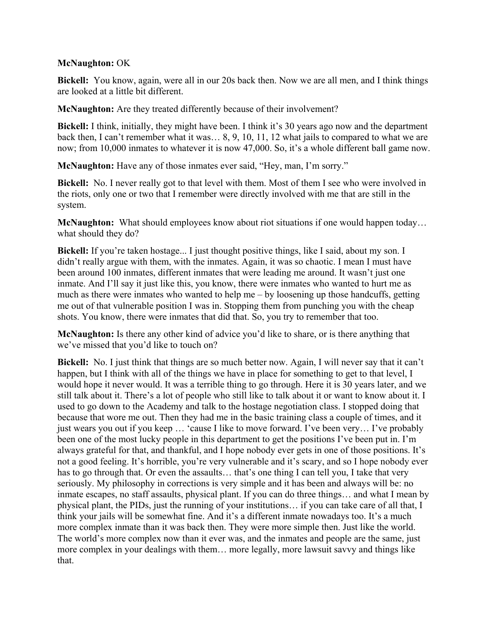#### **McNaughton:** OK

**Bickell:** You know, again, were all in our 20s back then. Now we are all men, and I think things are looked at a little bit different.

**McNaughton:** Are they treated differently because of their involvement?

**Bickell:** I think, initially, they might have been. I think it's 30 years ago now and the department back then, I can't remember what it was… 8, 9, 10, 11, 12 what jails to compared to what we are now; from 10,000 inmates to whatever it is now 47,000. So, it's a whole different ball game now.

**McNaughton:** Have any of those inmates ever said, "Hey, man, I'm sorry."

**Bickell:** No. I never really got to that level with them. Most of them I see who were involved in the riots, only one or two that I remember were directly involved with me that are still in the system.

**McNaughton:** What should employees know about riot situations if one would happen today... what should they do?

**Bickell:** If you're taken hostage... I just thought positive things, like I said, about my son. I didn't really argue with them, with the inmates. Again, it was so chaotic. I mean I must have been around 100 inmates, different inmates that were leading me around. It wasn't just one inmate. And I'll say it just like this, you know, there were inmates who wanted to hurt me as much as there were inmates who wanted to help me – by loosening up those handcuffs, getting me out of that vulnerable position I was in. Stopping them from punching you with the cheap shots. You know, there were inmates that did that. So, you try to remember that too.

**McNaughton:** Is there any other kind of advice you'd like to share, or is there anything that we've missed that you'd like to touch on?

**Bickell:** No. I just think that things are so much better now. Again, I will never say that it can't happen, but I think with all of the things we have in place for something to get to that level, I would hope it never would. It was a terrible thing to go through. Here it is 30 years later, and we still talk about it. There's a lot of people who still like to talk about it or want to know about it. I used to go down to the Academy and talk to the hostage negotiation class. I stopped doing that because that wore me out. Then they had me in the basic training class a couple of times, and it just wears you out if you keep … 'cause I like to move forward. I've been very… I've probably been one of the most lucky people in this department to get the positions I've been put in. I'm always grateful for that, and thankful, and I hope nobody ever gets in one of those positions. It's not a good feeling. It's horrible, you're very vulnerable and it's scary, and so I hope nobody ever has to go through that. Or even the assaults... that's one thing I can tell you, I take that very seriously. My philosophy in corrections is very simple and it has been and always will be: no inmate escapes, no staff assaults, physical plant. If you can do three things… and what I mean by physical plant, the PIDs, just the running of your institutions… if you can take care of all that, I think your jails will be somewhat fine. And it's a different inmate nowadays too. It's a much more complex inmate than it was back then. They were more simple then. Just like the world. The world's more complex now than it ever was, and the inmates and people are the same, just more complex in your dealings with them… more legally, more lawsuit savvy and things like that.